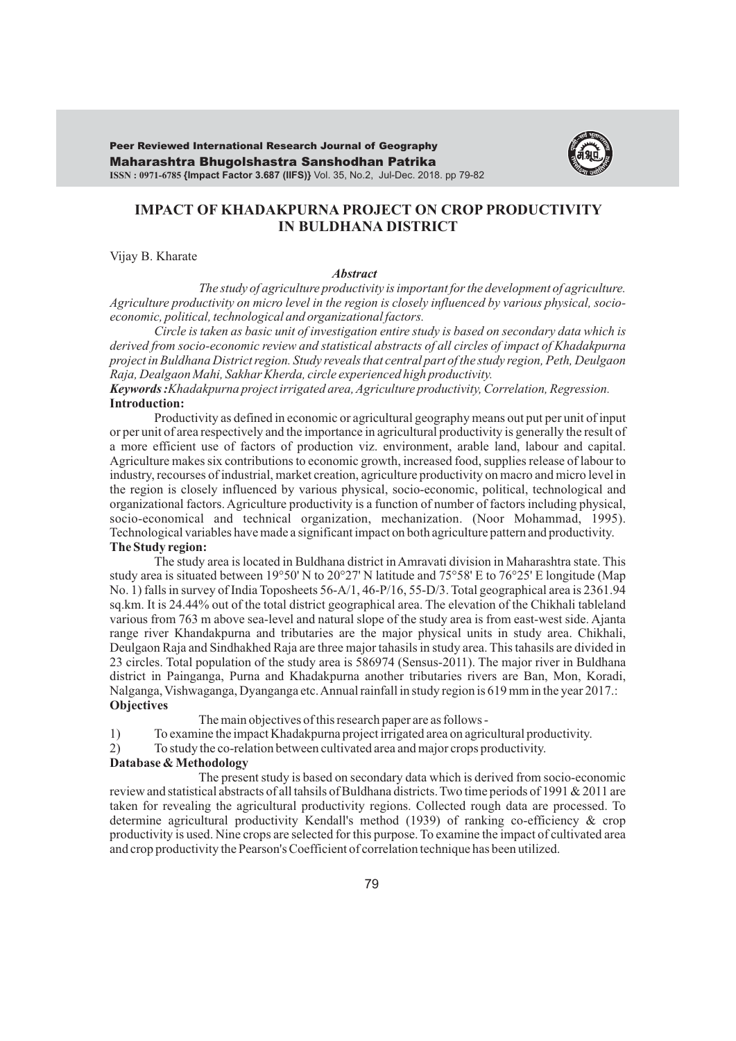Maharashtra Bhugolshastra Sanshodhan Patrika **ISSN : 0971-6785 {Impact Factor 3.687 (IIFS)}** Vol. 35, No.2, Jul-Dec. 2018. pp 79-82 Peer Reviewed International Research Journal of Geography



# **IMPACT OF KHADAKPURNA PROJECT ON CROP PRODUCTIVITY IN BULDHANA DISTRICT**

Vijay B. Kharate

#### *Abstract*

*The study of agriculture productivity is important for the development of agriculture. Agriculture productivity on micro level in the region is closely influenced by various physical, socioeconomic, political, technological and organizational factors.*

*Circle is taken as basic unit of investigation entire study is based on secondary data which is derived from socio-economic review and statistical abstracts of all circles of impact of Khadakpurna project in Buldhana District region. Study reveals that central part of the study region, Peth, Deulgaon Raja, Dealgaon Mahi, Sakhar Kherda, circle experienced high productivity.*

*Keywords :Khadakpurna project irrigated area, Agriculture productivity, Correlation, Regression.* **Introduction:**

Productivity as defined in economic or agricultural geography means out put per unit of input or per unit of area respectively and the importance in agricultural productivity is generally the result of a more efficient use of factors of production viz. environment, arable land, labour and capital. Agriculture makes six contributions to economic growth, increased food, supplies release of labour to industry, recourses of industrial, market creation, agriculture productivity on macro and micro level in the region is closely influenced by various physical, socio-economic, political, technological and organizational factors. Agriculture productivity is a function of number of factors including physical, socio-economical and technical organization, mechanization. (Noor Mohammad, 1995). Technological variables have made a significant impact on both agriculture pattern and productivity. **The Study region:**

The study area is located in Buldhana district in Amravati division in Maharashtra state. This study area is situated between 19°50' N to 20°27' N latitude and 75°58' E to 76°25' E longitude (Map No. 1) falls in survey of India Toposheets 56-A/1, 46-P/16, 55-D/3. Total geographical area is 2361.94 sq.km. It is 24.44% out of the total district geographical area. The elevation of the Chikhali tableland various from 763 m above sea-level and natural slope of the study area is from east-west side. Ajanta range river Khandakpurna and tributaries are the major physical units in study area. Chikhali, Deulgaon Raja and Sindhakhed Raja are three major tahasils in study area. This tahasils are divided in 23 circles. Total population of the study area is 586974 (Sensus-2011). The major river in Buldhana district in Painganga, Purna and Khadakpurna another tributaries rivers are Ban, Mon, Koradi, Nalganga, Vishwaganga, Dyanganga etc. Annual rainfall in study region is 619 mm in the year 2017.: **Objectives** 

The main objectives of this research paper are as follows -

- 1) To examine the impact Khadakpurna project irrigated area on agricultural productivity.
- 2) To study the co-relation between cultivated area and major crops productivity.

### **Database & Methodology**

The present study is based on secondary data which is derived from socio-economic review and statistical abstracts of all tahsils of Buldhana districts. Two time periods of 1991 & 2011 are taken for revealing the agricultural productivity regions. Collected rough data are processed. To determine agricultural productivity Kendall's method (1939) of ranking co-efficiency & crop productivity is used. Nine crops are selected for this purpose. To examine the impact of cultivated area and crop productivity the Pearson's Coefficient of correlation technique has been utilized.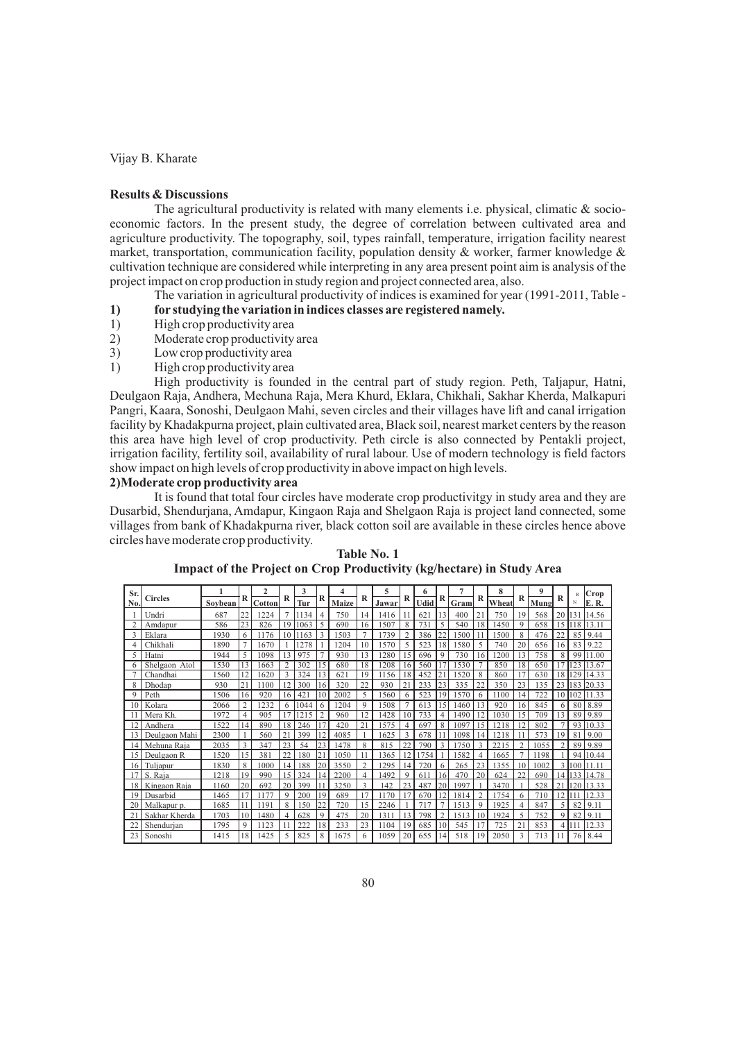Vijay B. Kharate

## **Results & Discussions**

The agricultural productivity is related with many elements i.e. physical, climatic  $&\infty$  socioeconomic factors. In the present study, the degree of correlation between cultivated area and agriculture productivity. The topography, soil, types rainfall, temperature, irrigation facility nearest market, transportation, communication facility, population density  $\&$  worker, farmer knowledge  $\&$ cultivation technique are considered while interpreting in any area present point aim is analysis of the project impact on crop production in study region and project connected area, also.

The variation in agricultural productivity of indices is examined for year (1991-2011, Table -

- **1) for studying the variation in indices classes are registered namely.**<br> **1)** High crop productivity area
- 1) High crop productivity area<br>
2) Moderate crop productivity
- 2) Moderate crop productivity area<br>3) Low crop productivity area
- Low crop productivity area
- 1) High crop productivity area

High productivity is founded in the central part of study region. Peth, Taljapur, Hatni, Deulgaon Raja, Andhera, Mechuna Raja, Mera Khurd, Eklara, Chikhali, Sakhar Kherda, Malkapuri Pangri, Kaara, Sonoshi, Deulgaon Mahi, seven circles and their villages have lift and canal irrigation facility by Khadakpurna project, plain cultivated area, Black soil, nearest market centers by the reason this area have high level of crop productivity. Peth circle is also connected by Pentakli project, irrigation facility, fertility soil, availability of rural labour. Use of modern technology is field factors show impact on high levels of crop productivity in above impact on high levels.

## **2)Moderate crop productivity area**

It is found that total four circles have moderate crop productivitgy in study area and they are Dusarbid, Shendurjana, Amdapur, Kingaon Raja and Shelgaon Raja is project land connected, some villages from bank of Khadakpurna river, black cotton soil are available in these circles hence above circles have moderate crop productivity.

| Sr.             |                |         |             | 2      |                | 3    |                | 4     |           | 5     |                | 6    |               | 7    |                | 8     |                | 9    |    | R        | Crop           |
|-----------------|----------------|---------|-------------|--------|----------------|------|----------------|-------|-----------|-------|----------------|------|---------------|------|----------------|-------|----------------|------|----|----------|----------------|
| No.             | <b>Circles</b> | Soybean | R           | Cotton | R              | Tur  | R              | Maize | R         | Jawar | R              | Udid | R             | Gram | R              | Wheat | R              | Mung | R  | N        | E. R.          |
|                 | Undri          | 687     | 22          | 1224   |                | 1134 | $\overline{4}$ | 750   | 14        | 1416  | 11             | 621  | 13            | 400  | 21             | 750   | 19             | 568  | 20 | 131      | 14.56          |
|                 | Amdapur        | 586     | 23          | 826    | 19             | 1063 | 5              | 690   | 16        | 1507  | 8              | 731  | 5             | 540  | 18             | 1450  | $\mathbf Q$    | 658  | 15 | 18       | 13.11          |
| 3               | Eklara         | 1930    | 6           | 1176   | 10             | 1163 | 3              | 1503  |           | 1739  | $\overline{c}$ | 386  | 22            | 1500 | 11             | 1500  | 8              | 476  | 22 | 85       | 9.44           |
|                 | Chikhali       | 1890    |             | 1670   |                | 1278 |                | 1204  | 10        | 1570  | 5              | 523  | 18            | 1580 | 5              | 740   | 20             | 656  | 16 | 83       | 9.22           |
| 5.              | Hatni          | 1944    | 5           | 1098   | 13             | 975  | $\overline{7}$ | 930   | 13        | 1280  | 15             | 696  | 9             | 730  | 16             | 1200  | 13             | 758  | 8  | 99       | 11.00          |
|                 | Shelgaon Atol  | 1530    | 13          | 1663   | $\overline{c}$ | 302  | 15             | 680   | 18        | 1208  | 16             | 560  |               | 1530 |                | 850   | 18             | 650  |    | 123      | 13.67          |
|                 | Chandhai       | 1560    | 12          | 1620   | 3              | 324  | 13             | 621   | 19        | 1156  | 18             | 452  | 21            | 1520 | 8              | 860   | 17             | 630  | 18 | 129      | 14.33          |
| 8               | Dhodap         | 930     | 21          | 1100   | 12             | 300  | 16             | 320   | 22        | 930   | 21             | 233  | 23            | 335  | 22             | 350   | 23             | 135  | 23 | 183      | 20.33          |
| 9               | Peth           | 1506    | 16          | 920    | 16             | 421  | 10             | 2002  | 5         | 1560  | 6              | 523  | 19            | 1570 | 6              | 1100  | 14             | 722  | 10 | 102      | 11.33          |
| 10              | Kolara         | 2066    | 2           | 1232   | 6              | 1044 | 6              | 1204  | 9         | 1508  | 7              | 613  | 15            | 1460 | 13             | 920   | 16             | 845  | 6  | 80       | 8.89           |
|                 | Mera Kh.       | 1972    | 4           | 905    |                | 1215 | $\overline{2}$ | 960   | 12        | 1428  | 10             | 733  | 4             | 1490 | 12             | 1030  | 15             | 709  | 13 | 89       | 9.89           |
| $\overline{2}$  | Andhera        | 1522    | 14          | 890    | 18             | 246  | 17             | 420   | 21        | 1575  | 4              | 697  | 8             | 1097 | 15             | 1218  | 12             | 802  |    | 93       | 10.33          |
| 13              | Deulgaon Mahi  | 2300    |             | 560    | 21             | 399  | 12             | 4085  |           | 1625  | 3              | 678  |               | 1098 | 14             | 1218  |                | 573  | 19 | 81       | 9.00           |
| 4               | Mehuna Raja    | 2035    | 3           | 347    | 23             | 54   | 23             | 478   | 8         | 815   | つつ             | 790  | ς             | 750  | $\mathcal{R}$  | 2215  |                | 1055 |    | 89       | 9.89           |
| 15              | Deulgaon R     | 1520    | 15          | 381    | 22             | 180  | 21             | 1050  |           | 1365  | 12             | 1754 |               | 1582 | $\overline{4}$ | 1665  |                | 1198 |    | 94       | 10.44          |
| 16              | Tuljapur       | 1830    | 8           | 1000   | 14             | 188  | 20             | 3550  | $\bigcap$ | 295   | 14             | 720  | 6             | 265  | 23             | 1355  | 10             | 1002 |    | $\Omega$ | 1 <sup>7</sup> |
| 17              | S. Raia        | 1218    | 19          | 990    | 15             | 324  | 14             | 2200  | 4         | 1492  | 9              | 611  | 16            | 470  | 20             | 624   | 22             | 690  | 14 | 33       | 14.78          |
| 18 I            | Kingaon Raja   | 1160    | 20          | 692    | 20             | 399  | 11             | 3250  | 3         | 142   | 23             | 487  | 20            | 1997 |                | 3470  |                | 528  | 21 | 20       | 13.33          |
| 19              | Dusarbid       | 1465    |             | 1177   | $\mathbf Q$    | 200  | 19             | 689   | 17        | 1170  | 17             | 670  | 12            | 1814 | $\overline{c}$ | 754   | 6              | 710  | 12 |          | 2.33           |
| 20 <sub>1</sub> | Malkapur p.    | 1685    | 11          | 1191   | 8              | 150  | 22             | 720   | 15        | 2246  |                | 717  | $\mathcal{I}$ | 513  | 9              | 1925  | $\overline{4}$ | 847  | 5  | 82       | 9.11           |
|                 | Sakhar Kherda  | 1703    | 10          | 1480   | 4              | 628  | 9              | 475   | 20        | 1311  | 13             | 798  | $\mathcal{P}$ | 1513 | 10             | 1924  |                | 752  | a  | 82       | 9.11           |
| 22              | Shendurjan     | 1795    | $\mathbf Q$ | 1123   |                | 222  | 18             | 233   | 23        | 1104  | 19             | 685  | 10            | 545  | 17             | 725   | 21             | 853  | 4  |          | 12.33          |
| 23              | Sonoshi        | 1415    | 18          | 1425   | 5              | 825  | 8              | 1675  | 6         | 1059  | 20             | 655  | 14            | 518  | 19             | 2050  | 3              | 713  |    | 76       | 8.44           |

**Table No. 1 Impact of the Project on Crop Productivity (kg/hectare) in Study Area**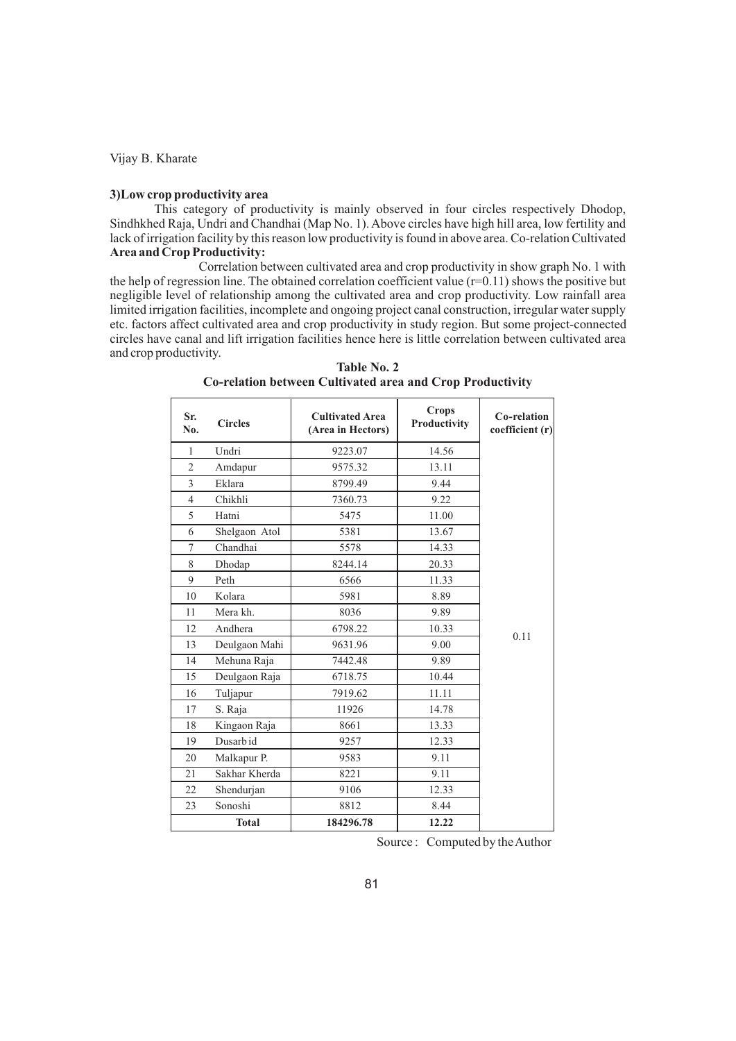Vijay B. Kharate

#### **3)Low crop productivity area**

This category of productivity is mainly observed in four circles respectively Dhodop, Sindhkhed Raja, Undri and Chandhai (Map No. 1). Above circles have high hill area, low fertility and lack of irrigation facility by this reason low productivity is found in above area. Co-relation Cultivated **Area and Crop Productivity:** 

Correlation between cultivated area and crop productivity in show graph No. 1 with the help of regression line. The obtained correlation coefficient value (r=0.11) shows the positive but negligible level of relationship among the cultivated area and crop productivity. Low rainfall area limited irrigation facilities, incomplete and ongoing project canal construction, irregular water supply etc. factors affect cultivated area and crop productivity in study region. But some project-connected circles have canal and lift irrigation facilities hence here is little correlation between cultivated area and crop productivity.

| Sr.<br>No.     | <b>Circles</b> | <b>Cultivated Area</b><br>(Area in Hectors) | <b>Crops</b><br>Productivity | Co-relation<br>coefficient (r) |
|----------------|----------------|---------------------------------------------|------------------------------|--------------------------------|
| 1              | Undri          | 9223.07                                     | 14.56                        |                                |
| $\overline{2}$ | Amdapur        | 9575.32                                     | 13.11                        |                                |
| 3              | Eklara         | 8799.49                                     | 9.44                         |                                |
| $\overline{4}$ | Chikhli        | 7360.73                                     | 9.22                         |                                |
| 5              | Hatni          | 5475                                        | 11.00                        |                                |
| 6              | Shelgaon Atol  | 5381                                        | 13.67                        |                                |
| $\tau$         | Chandhai       | 5578                                        | 14.33                        |                                |
| 8              | Dhodap         | 8244.14                                     | 20.33                        |                                |
| 9              | Peth           | 6566                                        | 11.33                        |                                |
| 10             | Kolara         | 5981                                        | 8.89                         |                                |
| 11             | Mera kh.       | 8036                                        | 9.89                         |                                |
| 12             | Andhera        | 6798.22                                     | 10.33                        | 0.11                           |
| 13             | Deulgaon Mahi  | 9631.96                                     | 9.00                         |                                |
| 14             | Mehuna Raja    | 7442.48                                     | 9.89                         |                                |
| 15             | Deulgaon Raja  | 6718.75                                     | 10.44                        |                                |
| 16             | Tuljapur       | 7919.62                                     | 11.11                        |                                |
| 17             | S. Raja        | 11926                                       | 14.78                        |                                |
| 18             | Kingaon Raja   | 8661                                        | 13.33                        |                                |
| 19             | Dusarb id      | 9257                                        | 12.33                        |                                |
| 20             | Malkapur P.    | 9583                                        | 9.11                         |                                |
| 21             | Sakhar Kherda  | 8221                                        | 9.11                         |                                |
| 22             | Shendurjan     | 9106                                        | 12.33                        |                                |
| 23             | Sonoshi        | 8812                                        | 8.44                         |                                |
|                | <b>Total</b>   | 184296.78                                   | 12.22                        |                                |

**Table No. 2 Co-relation between Cultivated area and Crop Productivity** 

Source : Computed by the Author